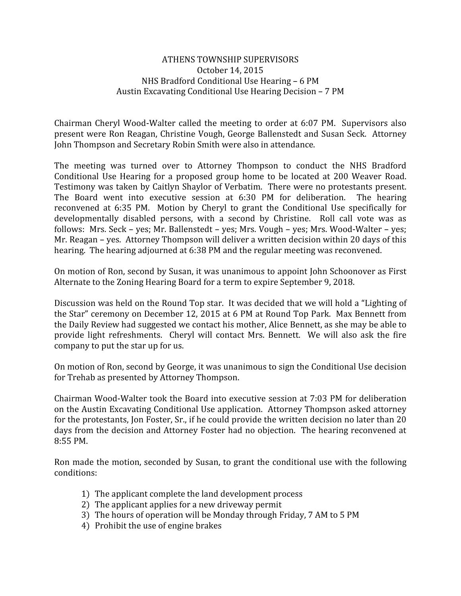## ATHENS TOWNSHIP SUPERVISORS October 14, 2015 NHS Bradford Conditional Use Hearing – 6 PM Austin Excavating Conditional Use Hearing Decision – 7 PM

Chairman Cheryl Wood-Walter called the meeting to order at 6:07 PM. Supervisors also present were Ron Reagan, Christine Vough, George Ballenstedt and Susan Seck. Attorney John Thompson and Secretary Robin Smith were also in attendance.

The meeting was turned over to Attorney Thompson to conduct the NHS Bradford Conditional Use Hearing for a proposed group home to be located at 200 Weaver Road. Testimony was taken by Caitlyn Shaylor of Verbatim. There were no protestants present. The Board went into executive session at 6:30 PM for deliberation. The hearing reconvened at 6:35 PM. Motion by Cheryl to grant the Conditional Use specifically for developmentally disabled persons, with a second by Christine. Roll call vote was as follows: Mrs. Seck – yes; Mr. Ballenstedt – yes; Mrs. Vough – yes; Mrs. Wood-Walter – yes; Mr. Reagan – yes. Attorney Thompson will deliver a written decision within 20 days of this hearing. The hearing adjourned at 6:38 PM and the regular meeting was reconvened.

On motion of Ron, second by Susan, it was unanimous to appoint John Schoonover as First Alternate to the Zoning Hearing Board for a term to expire September 9, 2018.

Discussion was held on the Round Top star. It was decided that we will hold a "Lighting of the Star" ceremony on December 12, 2015 at 6 PM at Round Top Park. Max Bennett from the Daily Review had suggested we contact his mother, Alice Bennett, as she may be able to provide light refreshments. Cheryl will contact Mrs. Bennett. We will also ask the fire company to put the star up for us.

On motion of Ron, second by George, it was unanimous to sign the Conditional Use decision for Trehab as presented by Attorney Thompson.

Chairman Wood-Walter took the Board into executive session at 7:03 PM for deliberation on the Austin Excavating Conditional Use application. Attorney Thompson asked attorney for the protestants, Jon Foster, Sr., if he could provide the written decision no later than 20 days from the decision and Attorney Foster had no objection. The hearing reconvened at 8:55 PM.

Ron made the motion, seconded by Susan, to grant the conditional use with the following conditions:

- 1) The applicant complete the land development process
- 2) The applicant applies for a new driveway permit
- 3) The hours of operation will be Monday through Friday, 7 AM to 5 PM
- 4) Prohibit the use of engine brakes